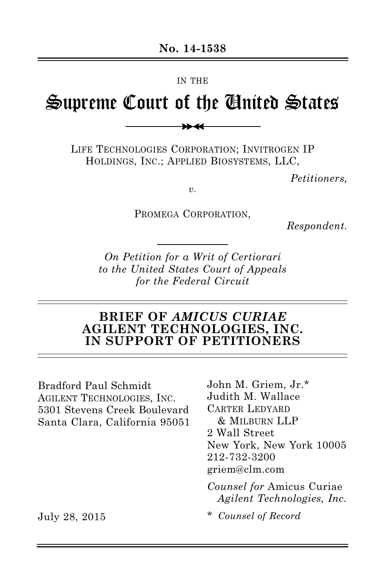#### IN THE

# Supreme Court of the United States

 $\rightarrow$ 

LIFE TECHNOLOGIES CORPORATION; INVITROGEN IP HOLDINGS, INC.; APPLIED BIOSYSTEMS, LLC,

*Petitioners,*

*v.*

PROMEGA CORPORATION,

*Respondent.*

*On Petition for a Writ of Certiorari to the United States Court of Appeals for the Federal Circuit*

## **BRIEF OF** *AMICUS CURIAE* **AGILENT TECHNOLOGIES, INC. IN SUPPORT OF PETITIONERS**

Bradford Paul Schmidt AGILENT TECHNOLOGIES, INC. 5301 Stevens Creek Boulevard Santa Clara, California 95051 John M. Griem, Jr.\* Judith M. Wallace CARTER LEDYARD & MILBURN LLP 2 Wall Street New York, New York 10005 212-732-3200 griem@clm.com

*Counsel for* Amicus Curiae *Agilent Technologies, Inc.*

\* *Counsel of Record*

July 28, 2015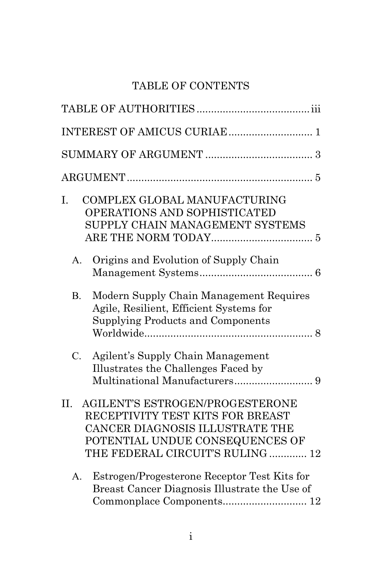## TABLE OF CONTENTS

| I.<br>COMPLEX GLOBAL MANUFACTURING<br>OPERATIONS AND SOPHISTICATED<br>SUPPLY CHAIN MANAGEMENT SYSTEMS                                                                                       |
|---------------------------------------------------------------------------------------------------------------------------------------------------------------------------------------------|
| Origins and Evolution of Supply Chain<br>A.                                                                                                                                                 |
| Modern Supply Chain Management Requires<br><b>B.</b><br>Agile, Resilient, Efficient Systems for<br>Supplying Products and Components                                                        |
| Agilent's Supply Chain Management<br>$C_{\cdot}$<br>Illustrates the Challenges Faced by                                                                                                     |
| <b>AGILENT'S ESTROGEN/PROGESTERONE</b><br>II.<br>RECEPTIVITY TEST KITS FOR BREAST<br>CANCER DIAGNOSIS ILLUSTRATE THE<br>POTENTIAL UNDUE CONSEQUENCES OF<br>THE FEDERAL CIRCUIT'S RULING  12 |
| Estrogen/Progesterone Receptor Test Kits for<br>$A_{\cdot}$<br>Breast Cancer Diagnosis Illustrate the Use of<br>Commonplace Components 12                                                   |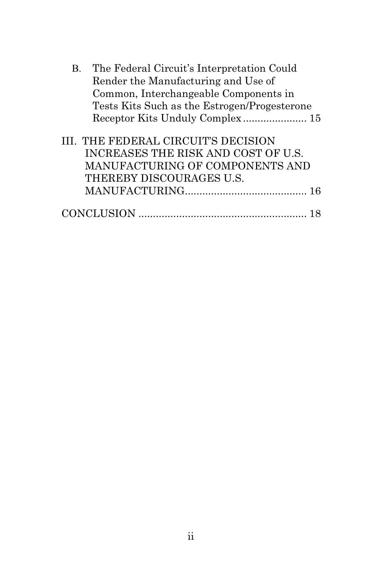| Β. | The Federal Circuit's Interpretation Could                                                                                                |    |
|----|-------------------------------------------------------------------------------------------------------------------------------------------|----|
|    | Render the Manufacturing and Use of                                                                                                       |    |
|    | Common, Interchangeable Components in                                                                                                     |    |
|    | Tests Kits Such as the Estrogen/Progesterone                                                                                              |    |
|    |                                                                                                                                           |    |
|    | III. THE FEDERAL CIRCUIT'S DECISION<br>INCREASES THE RISK AND COST OF U.S.<br>MANUFACTURING OF COMPONENTS AND<br>THEREBY DISCOURAGES U.S. |    |
|    |                                                                                                                                           |    |
|    |                                                                                                                                           | 18 |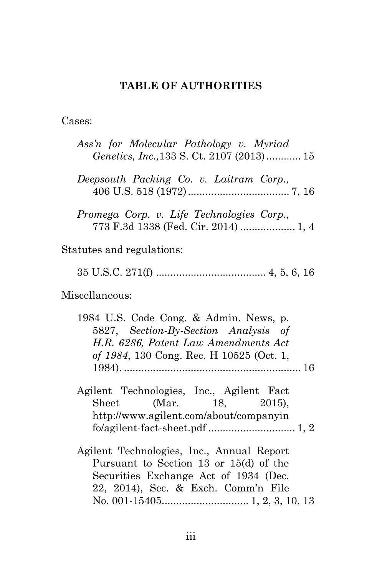## **TABLE OF AUTHORITIES**

Cases:

| Ass'n for Molecular Pathology v. Myriad<br>Genetics, Inc., 133 S. Ct. 2107 (2013) 15                                                                                |
|---------------------------------------------------------------------------------------------------------------------------------------------------------------------|
| Deepsouth Packing Co. v. Laitram Corp.,                                                                                                                             |
| Promega Corp. v. Life Technologies Corp.,<br>773 F.3d 1338 (Fed. Cir. 2014)  1, 4                                                                                   |
| Statutes and regulations:                                                                                                                                           |
|                                                                                                                                                                     |
| Miscellaneous:                                                                                                                                                      |
| 1984 U.S. Code Cong. & Admin. News, p.<br>5827, Section-By-Section Analysis of<br>H.R. 6286, Patent Law Amendments Act<br>of 1984, 130 Cong. Rec. H 10525 (Oct. 1,  |
| Agilent Technologies, Inc., Agilent Fact<br>Sheet (Mar. 18, 2015),<br>http://www.agilent.com/about/companyin                                                        |
| Agilent Technologies, Inc., Annual Report<br>Pursuant to Section 13 or 15(d) of the<br>Securities Exchange Act of 1934 (Dec.<br>22, 2014), Sec. & Exch. Comm'n File |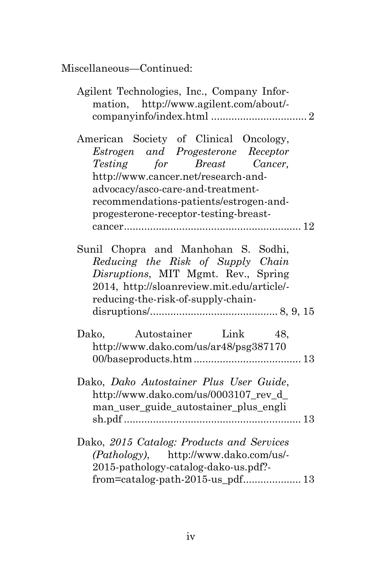| Agilent Technologies, Inc., Company Infor-<br>mation, http://www.agilent.com/about/-                                                                                                                                                                                      |
|---------------------------------------------------------------------------------------------------------------------------------------------------------------------------------------------------------------------------------------------------------------------------|
| American Society of Clinical Oncology,<br>Estrogen and Progesterone Receptor<br>Testing for Breast Cancer,<br>http://www.cancer.net/research-and-<br>advocacy/asco-care-and-treatment-<br>recommendations-patients/estrogen-and-<br>progesterone-receptor-testing-breast- |
| Sunil Chopra and Manhohan S. Sodhi,<br>Reducing the Risk of Supply Chain<br>Disruptions, MIT Mgmt. Rev., Spring<br>2014, http://sloanreview.mit.edu/article/-<br>reducing-the-risk-of-supply-chain-                                                                       |
| Dako,<br>Autostainer Link<br>48,<br>http://www.dako.com/us/ar48/psg387170                                                                                                                                                                                                 |
| Dako, Dako Autostainer Plus User Guide,<br>http://www.dako.com/us/0003107_rev_d_<br>man_user_guide_autostainer_plus_engli                                                                                                                                                 |
| Dako, 2015 Catalog: Products and Services<br>(Pathology), http://www.dako.com/us/-<br>2015-pathology-catalog-dako-us.pdf?<br>from=catalog-path-2015-us_pdf 13                                                                                                             |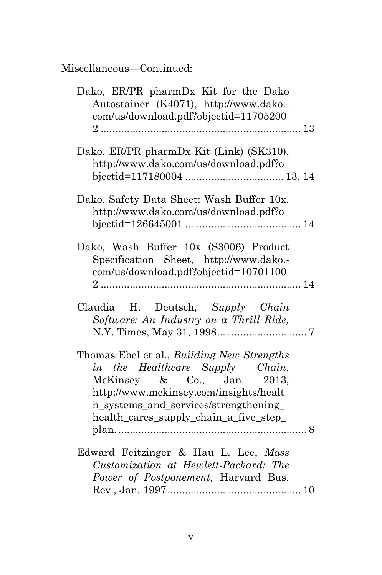| Dako, ER/PR pharmDx Kit for the Dako<br>Autostainer (K4071), http://www.dako.-<br>com/us/download.pdf?objectid=11705200                                                                                                                  |
|------------------------------------------------------------------------------------------------------------------------------------------------------------------------------------------------------------------------------------------|
| Dako, ER/PR pharmDx Kit (Link) (SK310),<br>http://www.dako.com/us/download.pdf?o                                                                                                                                                         |
| Dako, Safety Data Sheet: Wash Buffer 10x,<br>http://www.dako.com/us/download.pdf?o                                                                                                                                                       |
| Dako, Wash Buffer 10x (S3006) Product<br>Specification Sheet, http://www.dako.-<br>com/us/download.pdf?objectid=10701100                                                                                                                 |
| Claudia H. Deutsch, Supply Chain<br>Software: An Industry on a Thrill Ride,                                                                                                                                                              |
| Thomas Ebel et al., Building New Strengths<br>in the Healthcare Supply Chain,<br>McKinsey & Co., Jan. 2013,<br>http://www.mckinsey.com/insights/healt<br>h_systems_and_services/strengthening_<br>health_cares_supply_chain_a_five_step_ |
| Edward Feitzinger & Hau L. Lee, Mass<br>Customization at Hewlett-Packard: The<br>Power of Postponement, Harvard Bus.                                                                                                                     |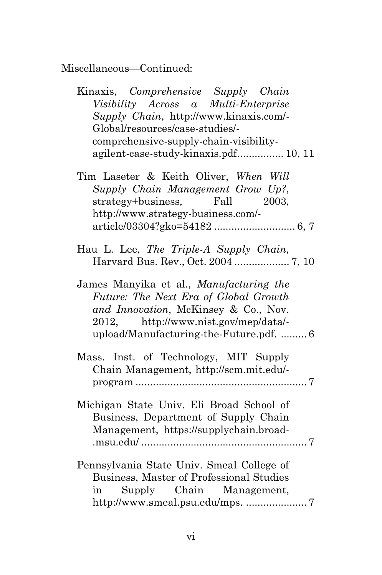| Kinaxis, Comprehensive Supply Chain<br>Visibility Across a Multi-Enterprise<br>Supply Chain, http://www.kinaxis.com/-<br>Global/resources/case-studies/-<br>comprehensive-supply-chain-visibility-<br>agilent-case-study-kinaxis.pdf 10, 11 |
|---------------------------------------------------------------------------------------------------------------------------------------------------------------------------------------------------------------------------------------------|
| Tim Laseter & Keith Oliver, When Will<br>Supply Chain Management Grow Up?,<br>strategy+business, Fall 2003,<br>http://www.strategy-business.com/-                                                                                           |
| Hau L. Lee, The Triple-A Supply Chain,<br>Harvard Bus. Rev., Oct. 2004  7, 10                                                                                                                                                               |
| James Manyika et al., Manufacturing the<br>Future: The Next Era of Global Growth<br>and Innovation, McKinsey & Co., Nov.<br>2012, http://www.nist.gov/mep/data/-<br>upload/Manufacturing-the-Future.pdf.  6                                 |
| Mass. Inst. of Technology, MIT Supply<br>Chain Management, http://scm.mit.edu/-<br>$program \dots 7$                                                                                                                                        |
| Michigan State Univ. Eli Broad School of<br>Business, Department of Supply Chain<br>Management, https://supplychain.broad-                                                                                                                  |
| Pennsylvania State Univ. Smeal College of<br>Business, Master of Professional Studies<br>in Supply Chain Management,                                                                                                                        |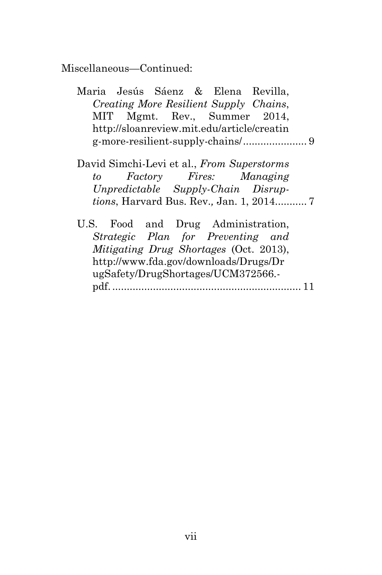- Maria Jesús Sáenz & Elena Revilla, *Creating More Resilient Supply Chains*, MIT Mgmt. Rev., Summer 2014, http://sloanreview.mit.edu/article/creatin g-more-resilient-supply-chains/ ...................... 9
- David Simchi-Levi et al., *From Superstorms to Factory Fires: Managing Unpredictable Supply-Chain Disruptions*, Harvard Bus. Rev.*,* Jan. 1, 2014........... 7
- U.S. Food and Drug Administration, *Strategic Plan for Preventing and Mitigating Drug Shortages* (Oct. 2013), http://www.fda.gov/downloads/Drugs/Dr ugSafety/DrugShortages/UCM372566. pdf. ................................................................. 11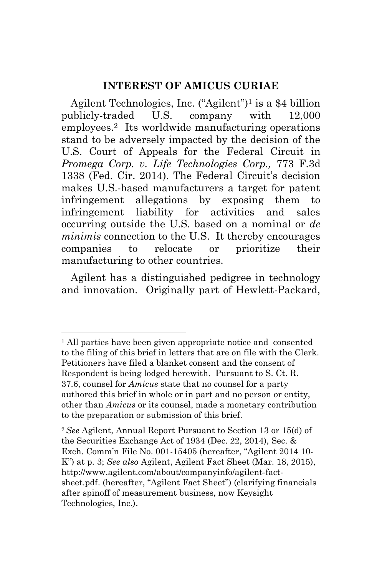### **INTEREST OF AMICUS CURIAE**

Agilent Technologies, Inc. ("Agilent")1 is a \$4 billion publicly-traded U.S. company with 12,000 employees.2 Its worldwide manufacturing operations stand to be adversely impacted by the decision of the U.S. Court of Appeals for the Federal Circuit in *Promega Corp. v. Life Technologies Corp.,* 773 F.3d 1338 (Fed. Cir. 2014). The Federal Circuit's decision makes U.S.-based manufacturers a target for patent infringement allegations by exposing them to infringement liability for activities and sales occurring outside the U.S. based on a nominal or *de minimis* connection to the U.S. It thereby encourages companies to relocate or prioritize their manufacturing to other countries.

Agilent has a distinguished pedigree in technology and innovation. Originally part of Hewlett-Packard,

<sup>1</sup> All parties have been given appropriate notice and consented to the filing of this brief in letters that are on file with the Clerk. Petitioners have filed a blanket consent and the consent of Respondent is being lodged herewith. Pursuant to S. Ct. R. 37.6, counsel for *Amicus* state that no counsel for a party authored this brief in whole or in part and no person or entity, other than *Amicus* or its counsel, made a monetary contribution to the preparation or submission of this brief.

<sup>2</sup> *See* Agilent, Annual Report Pursuant to Section 13 or 15(d) of the Securities Exchange Act of 1934 (Dec. 22, 2014), Sec. & Exch. Comm'n File No. 001-15405 (hereafter, "Agilent 2014 10- K") at p. 3; *See also* Agilent, Agilent Fact Sheet (Mar. 18, 2015), http://www.agilent.com/about/companyinfo/agilent-factsheet.pdf. (hereafter, "Agilent Fact Sheet") (clarifying financials after spinoff of measurement business, now Keysight Technologies, Inc.).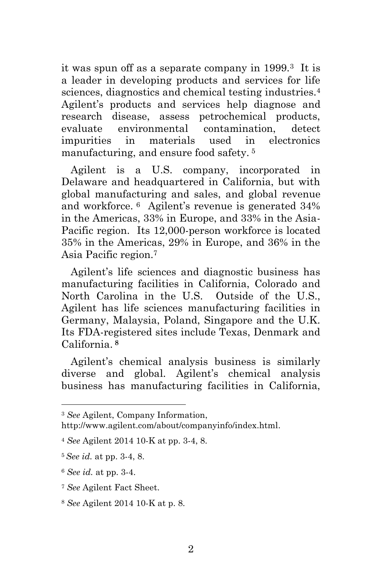it was spun off as a separate company in 1999.3 It is a leader in developing products and services for life sciences, diagnostics and chemical testing industries.4 Agilent's products and services help diagnose and research disease, assess petrochemical products, evaluate environmental contamination, detect impurities in materials used in electronics manufacturing, and ensure food safety. <sup>5</sup>

Agilent is a U.S. company, incorporated in Delaware and headquartered in California, but with global manufacturing and sales, and global revenue and workforce. 6 Agilent's revenue is generated 34% in the Americas, 33% in Europe, and 33% in the Asia-Pacific region. Its 12,000-person workforce is located 35% in the Americas, 29% in Europe, and 36% in the Asia Pacific region.7

Agilent's life sciences and diagnostic business has manufacturing facilities in California, Colorado and North Carolina in the U.S. Outside of the U.S., Agilent has life sciences manufacturing facilities in Germany, Malaysia, Poland, Singapore and the U.K. Its FDA-registered sites include Texas, Denmark and California. **<sup>8</sup>**

Agilent's chemical analysis business is similarly diverse and global. Agilent's chemical analysis business has manufacturing facilities in California,

http://www.agilent.com/about/companyinfo/index.html.

<sup>3</sup> *See* Agilent, Company Information,

<sup>4</sup> *See* Agilent 2014 10-K at pp. 3-4, 8.

<sup>5</sup> *See id.* at pp. 3-4, 8.

<sup>6</sup> *See id.* at pp. 3-4.

<sup>7</sup> *See* Agilent Fact Sheet.

<sup>8</sup> *See* Agilent 2014 10-K at p. 8.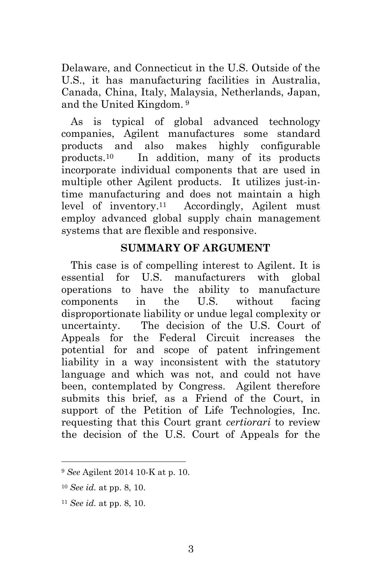Delaware, and Connecticut in the U.S. Outside of the U.S., it has manufacturing facilities in Australia, Canada, China, Italy, Malaysia, Netherlands, Japan, and the United Kingdom. <sup>9</sup>

As is typical of global advanced technology companies, Agilent manufactures some standard products and also makes highly configurable products.10 In addition, many of its products incorporate individual components that are used in multiple other Agilent products. It utilizes just-intime manufacturing and does not maintain a high level of inventory.11 Accordingly, Agilent must employ advanced global supply chain management systems that are flexible and responsive.

## **SUMMARY OF ARGUMENT**

This case is of compelling interest to Agilent. It is essential for U.S. manufacturers with global operations to have the ability to manufacture components in the U.S. without facing disproportionate liability or undue legal complexity or uncertainty. The decision of the U.S. Court of Appeals for the Federal Circuit increases the potential for and scope of patent infringement liability in a way inconsistent with the statutory language and which was not, and could not have been, contemplated by Congress. Agilent therefore submits this brief, as a Friend of the Court, in support of the Petition of Life Technologies, Inc. requesting that this Court grant *certiorari* to review the decision of the U.S. Court of Appeals for the

<sup>9</sup> *See* Agilent 2014 10-K at p. 10.

<sup>10</sup> *See id.* at pp. 8, 10.

<sup>11</sup> *See id.* at pp. 8, 10.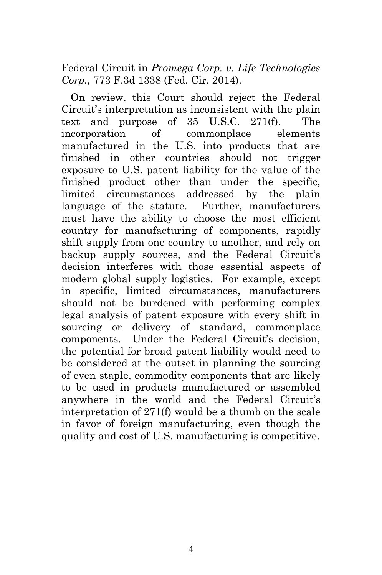Federal Circuit in *Promega Corp. v. Life Technologies Corp.,* 773 F.3d 1338 (Fed. Cir. 2014).

On review, this Court should reject the Federal Circuit's interpretation as inconsistent with the plain text and purpose of 35 U.S.C. 271(f). The incorporation of commonplace elements manufactured in the U.S. into products that are finished in other countries should not trigger exposure to U.S. patent liability for the value of the finished product other than under the specific, limited circumstances addressed by the plain language of the statute. Further, manufacturers must have the ability to choose the most efficient country for manufacturing of components, rapidly shift supply from one country to another, and rely on backup supply sources, and the Federal Circuit's decision interferes with those essential aspects of modern global supply logistics. For example, except in specific, limited circumstances, manufacturers should not be burdened with performing complex legal analysis of patent exposure with every shift in sourcing or delivery of standard, commonplace components. Under the Federal Circuit's decision, the potential for broad patent liability would need to be considered at the outset in planning the sourcing of even staple, commodity components that are likely to be used in products manufactured or assembled anywhere in the world and the Federal Circuit's interpretation of 271(f) would be a thumb on the scale in favor of foreign manufacturing, even though the quality and cost of U.S. manufacturing is competitive.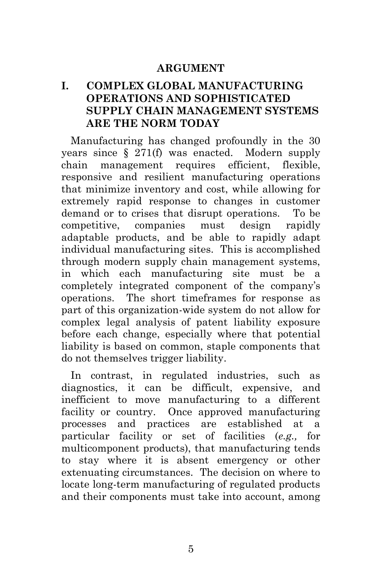#### **ARGUMENT**

## **I. COMPLEX GLOBAL MANUFACTURING OPERATIONS AND SOPHISTICATED SUPPLY CHAIN MANAGEMENT SYSTEMS ARE THE NORM TODAY**

Manufacturing has changed profoundly in the 30 years since § 271(f) was enacted. Modern supply chain management requires efficient, flexible, responsive and resilient manufacturing operations that minimize inventory and cost, while allowing for extremely rapid response to changes in customer demand or to crises that disrupt operations. To be competitive, companies must design rapidly adaptable products, and be able to rapidly adapt individual manufacturing sites. This is accomplished through modern supply chain management systems, in which each manufacturing site must be a completely integrated component of the company's operations. The short timeframes for response as part of this organization-wide system do not allow for complex legal analysis of patent liability exposure before each change, especially where that potential liability is based on common, staple components that do not themselves trigger liability.

In contrast, in regulated industries, such as diagnostics, it can be difficult, expensive, and inefficient to move manufacturing to a different facility or country. Once approved manufacturing processes and practices are established at a particular facility or set of facilities (*e.g.,* for multicomponent products), that manufacturing tends to stay where it is absent emergency or other extenuating circumstances. The decision on where to locate long-term manufacturing of regulated products and their components must take into account, among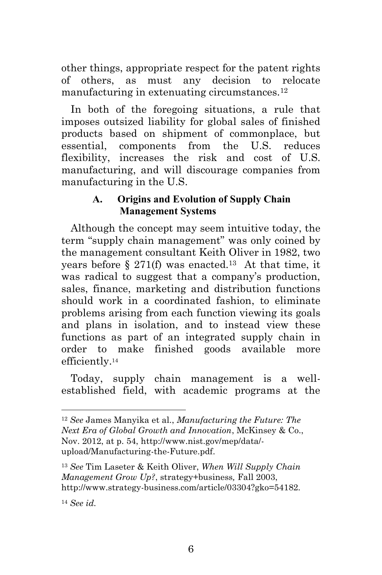other things, appropriate respect for the patent rights of others, as must any decision to relocate manufacturing in extenuating circumstances.12

In both of the foregoing situations, a rule that imposes outsized liability for global sales of finished products based on shipment of commonplace, but essential, components from the U.S. reduces flexibility, increases the risk and cost of U.S. manufacturing, and will discourage companies from manufacturing in the U.S.

## **A. Origins and Evolution of Supply Chain Management Systems**

Although the concept may seem intuitive today, the term "supply chain management" was only coined by the management consultant Keith Oliver in 1982, two years before  $\S 271(f)$  was enacted.<sup>13</sup> At that time, it was radical to suggest that a company's production, sales, finance, marketing and distribution functions should work in a coordinated fashion, to eliminate problems arising from each function viewing its goals and plans in isolation, and to instead view these functions as part of an integrated supply chain in order to make finished goods available more efficiently.14

Today, supply chain management is a wellestablished field, with academic programs at the

<sup>14</sup> *See id.*

<sup>12</sup> *See* James Manyika et al., *Manufacturing the Future: The Next Era of Global Growth and Innovation*, McKinsey & Co., Nov. 2012, at p. 54, http://www.nist.gov/mep/data/ upload/Manufacturing-the-Future.pdf.

<sup>13</sup> *See* Tim Laseter & Keith Oliver, *When Will Supply Chain Management Grow Up?*, strategy+business*,* Fall 2003, http://www.strategy-business.com/article/03304?gko=54182*.*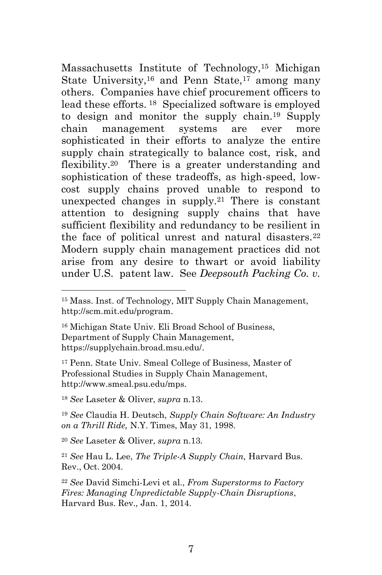Massachusetts Institute of Technology,15 Michigan State University,<sup>16</sup> and Penn State,<sup>17</sup> among many others. Companies have chief procurement officers to lead these efforts. 18 Specialized software is employed to design and monitor the supply chain.19 Supply chain management systems are ever more sophisticated in their efforts to analyze the entire supply chain strategically to balance cost, risk, and flexibility.<sup>20</sup> There is a greater understanding and sophistication of these tradeoffs, as high-speed, lowcost supply chains proved unable to respond to unexpected changes in supply.21 There is constant attention to designing supply chains that have sufficient flexibility and redundancy to be resilient in the face of political unrest and natural disasters.<sup>22</sup> Modern supply chain management practices did not arise from any desire to thwart or avoid liability under U.S. patent law. See *Deepsouth Packing Co. v.* 

16 Michigan State Univ. Eli Broad School of Business, Department of Supply Chain Management, https://supplychain.broad.msu.edu/.

17 Penn. State Univ. Smeal College of Business, Master of Professional Studies in Supply Chain Management, http://www.smeal.psu.edu/mps.

<sup>18</sup> *See* Laseter & Oliver, *supra* n.13.

1

<sup>19</sup> *See* Claudia H. Deutsch, *Supply Chain Software: An Industry on a Thrill Ride,* N.Y. Times, May 31, 1998.

<sup>20</sup> *See* Laseter & Oliver, *supra* n.13*.*

<sup>21</sup> *See* Hau L. Lee, *The Triple-A Supply Chain,* Harvard Bus. Rev., Oct. 2004.

<sup>22</sup> *See* David Simchi-Levi et al., *From Superstorms to Factory Fires: Managing Unpredictable Supply-Chain Disruptions*, Harvard Bus. Rev.*,* Jan. 1, 2014.

<sup>15</sup> Mass. Inst. of Technology, MIT Supply Chain Management, http://scm.mit.edu/program.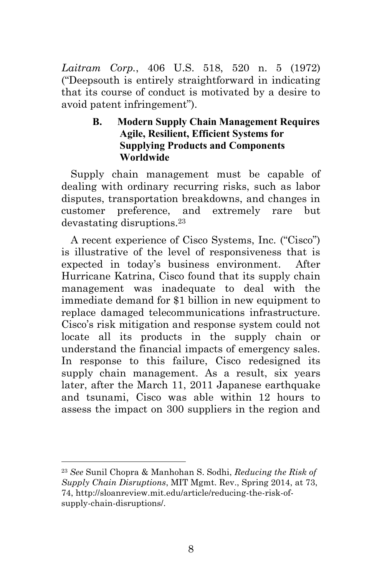*Laitram Corp.*, 406 U.S. 518, 520 n. 5 (1972) ("Deepsouth is entirely straightforward in indicating that its course of conduct is motivated by a desire to avoid patent infringement").

### **B. Modern Supply Chain Management Requires Agile, Resilient, Efficient Systems for Supplying Products and Components Worldwide**

Supply chain management must be capable of dealing with ordinary recurring risks, such as labor disputes, transportation breakdowns, and changes in customer preference, and extremely rare but devastating disruptions.23

A recent experience of Cisco Systems, Inc. ("Cisco") is illustrative of the level of responsiveness that is expected in today's business environment. After Hurricane Katrina, Cisco found that its supply chain management was inadequate to deal with the immediate demand for \$1 billion in new equipment to replace damaged telecommunications infrastructure. Cisco's risk mitigation and response system could not locate all its products in the supply chain or understand the financial impacts of emergency sales. In response to this failure, Cisco redesigned its supply chain management. As a result, six years later, after the March 11, 2011 Japanese earthquake and tsunami, Cisco was able within 12 hours to assess the impact on 300 suppliers in the region and

<sup>23</sup> *See* Sunil Chopra & Manhohan S. Sodhi, *Reducing the Risk of Supply Chain Disruptions*, MIT Mgmt. Rev., Spring 2014, at 73, 74, http://sloanreview.mit.edu/article/reducing-the-risk-ofsupply-chain-disruptions/.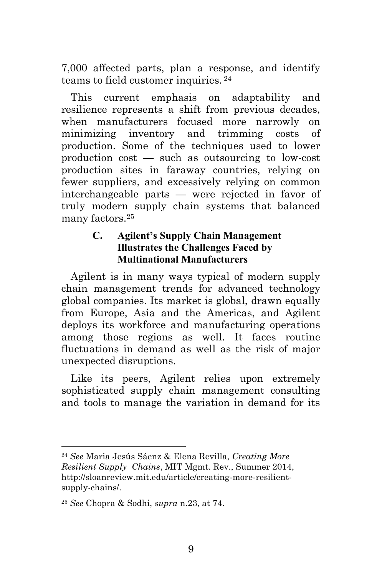7,000 affected parts, plan a response, and identify teams to field customer inquiries. 24

This current emphasis on adaptability and resilience represents a shift from previous decades, when manufacturers focused more narrowly on minimizing inventory and trimming costs of production. Some of the techniques used to lower production cost — such as outsourcing to low-cost production sites in faraway countries, relying on fewer suppliers, and excessively relying on common interchangeable parts — were rejected in favor of truly modern supply chain systems that balanced many factors  $25$ 

### **C. Agilent's Supply Chain Management Illustrates the Challenges Faced by Multinational Manufacturers**

Agilent is in many ways typical of modern supply chain management trends for advanced technology global companies. Its market is global, drawn equally from Europe, Asia and the Americas, and Agilent deploys its workforce and manufacturing operations among those regions as well. It faces routine fluctuations in demand as well as the risk of major unexpected disruptions.

Like its peers, Agilent relies upon extremely sophisticated supply chain management consulting and tools to manage the variation in demand for its

<sup>24</sup> *See* Maria Jesús Sáenz & Elena Revilla, *Creating More Resilient Supply Chains*, MIT Mgmt. Rev., Summer 2014, http://sloanreview.mit.edu/article/creating-more-resilientsupply-chains/.

<sup>25</sup> *See* Chopra & Sodhi, *supra* n.23, at 74.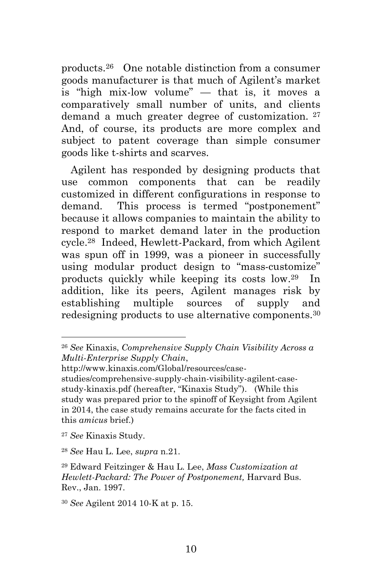products.26 One notable distinction from a consumer goods manufacturer is that much of Agilent's market is "high mix-low volume" — that is, it moves a comparatively small number of units, and clients demand a much greater degree of customization. 27 And, of course, its products are more complex and subject to patent coverage than simple consumer goods like t-shirts and scarves.

Agilent has responded by designing products that use common components that can be readily customized in different configurations in response to demand. This process is termed "postponement" because it allows companies to maintain the ability to respond to market demand later in the production cycle.28 Indeed, Hewlett-Packard, from which Agilent was spun off in 1999, was a pioneer in successfully using modular product design to "mass-customize" products quickly while keeping its costs low.29 In addition, like its peers, Agilent manages risk by establishing multiple sources of supply and redesigning products to use alternative components.30

<sup>26</sup> *See* Kinaxis, *Comprehensive Supply Chain Visibility Across a Multi-Enterprise Supply Chain*,

http://www.kinaxis.com/Global/resources/case-

studies/comprehensive-supply-chain-visibility-agilent-casestudy-kinaxis.pdf (hereafter, "Kinaxis Study"). (While this study was prepared prior to the spinoff of Keysight from Agilent in 2014, the case study remains accurate for the facts cited in this *amicus* brief.)

<sup>27</sup> *See* Kinaxis Study.

<sup>28</sup> *See* Hau L. Lee, *supra* n.21.

<sup>29</sup> Edward Feitzinger & Hau L. Lee, *Mass Customization at Hewlett-Packard: The Power of Postponement,* Harvard Bus. Rev., Jan. 1997.

<sup>30</sup> *See* Agilent 2014 10-K at p. 15.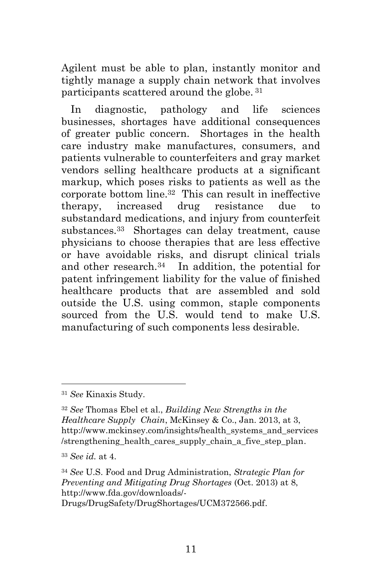Agilent must be able to plan, instantly monitor and tightly manage a supply chain network that involves participants scattered around the globe. 31

In diagnostic, pathology and life sciences businesses, shortages have additional consequences of greater public concern. Shortages in the health care industry make manufactures, consumers, and patients vulnerable to counterfeiters and gray market vendors selling healthcare products at a significant markup, which poses risks to patients as well as the corporate bottom line.32 This can result in ineffective therapy, increased drug resistance due to substandard medications, and injury from counterfeit substances.33 Shortages can delay treatment, cause physicians to choose therapies that are less effective or have avoidable risks, and disrupt clinical trials and other research.34 In addition, the potential for patent infringement liability for the value of finished healthcare products that are assembled and sold outside the U.S. using common, staple components sourced from the U.S. would tend to make U.S. manufacturing of such components less desirable.

<sup>31</sup> *See* Kinaxis Study.

<sup>32</sup> *See* Thomas Ebel et al., *Building New Strengths in the Healthcare Supply Chain*, McKinsey & Co., Jan. 2013, at 3, http://www.mckinsey.com/insights/health\_systems\_and\_services /strengthening\_health\_cares\_supply\_chain\_a\_five\_step\_plan.

<sup>33</sup> *See id.* at 4.

<sup>34</sup> *See* U.S. Food and Drug Administration, *Strategic Plan for Preventing and Mitigating Drug Shortages* (Oct. 2013) at 8, http://www.fda.gov/downloads/-

Drugs/DrugSafety/DrugShortages/UCM372566.pdf.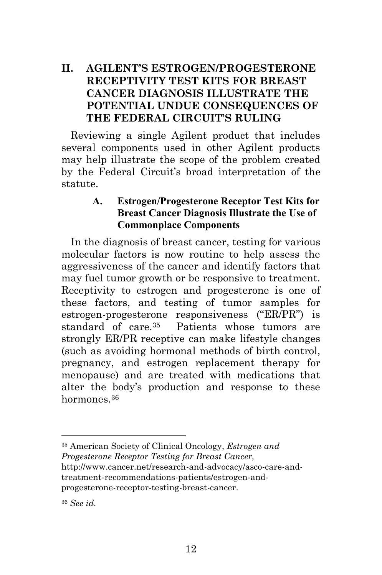## **II. AGILENT'S ESTROGEN/PROGESTERONE RECEPTIVITY TEST KITS FOR BREAST CANCER DIAGNOSIS ILLUSTRATE THE POTENTIAL UNDUE CONSEQUENCES OF THE FEDERAL CIRCUIT'S RULING**

Reviewing a single Agilent product that includes several components used in other Agilent products may help illustrate the scope of the problem created by the Federal Circuit's broad interpretation of the statute.

#### **A. Estrogen/Progesterone Receptor Test Kits for Breast Cancer Diagnosis Illustrate the Use of Commonplace Components**

In the diagnosis of breast cancer, testing for various molecular factors is now routine to help assess the aggressiveness of the cancer and identify factors that may fuel tumor growth or be responsive to treatment. Receptivity to estrogen and progesterone is one of these factors, and testing of tumor samples for estrogen-progesterone responsiveness ("ER/PR") is standard of care.35 Patients whose tumors are strongly ER/PR receptive can make lifestyle changes (such as avoiding hormonal methods of birth control, pregnancy, and estrogen replacement therapy for menopause) and are treated with medications that alter the body's production and response to these hormones<sup>36</sup>

35 American Society of Clinical Oncology, *Estrogen and Progesterone Receptor Testing for Breast Cancer,*  http://www.cancer.net/research-and-advocacy/asco-care-andtreatment-recommendations-patients/estrogen-andprogesterone-receptor-testing-breast-cancer.

<sup>36</sup> *See id.*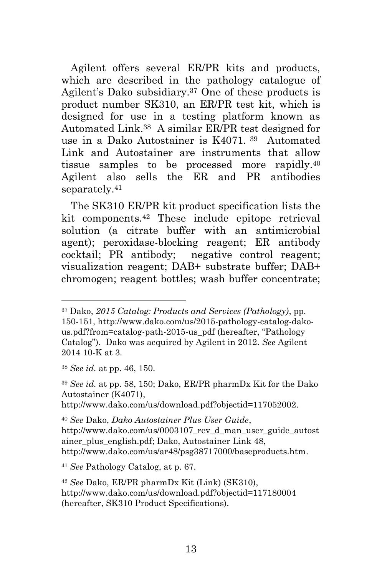Agilent offers several ER/PR kits and products, which are described in the pathology catalogue of Agilent's Dako subsidiary.37 One of these products is product number SK310, an ER/PR test kit, which is designed for use in a testing platform known as Automated Link.38 A similar ER/PR test designed for use in a Dako Autostainer is K4071. 39 Automated Link and Autostainer are instruments that allow tissue samples to be processed more rapidly.40 Agilent also sells the ER and PR antibodies separately.41

The SK310 ER/PR kit product specification lists the kit components.42 These include epitope retrieval solution (a citrate buffer with an antimicrobial agent); peroxidase-blocking reagent; ER antibody cocktail; PR antibody; negative control reagent; visualization reagent; DAB+ substrate buffer; DAB+ chromogen; reagent bottles; wash buffer concentrate;

<sup>38</sup> *See id.* at pp. 46, 150.

1

<sup>39</sup> *See id.* at pp. 58, 150; Dako, ER/PR pharmDx Kit for the Dako Autostainer (K4071),

http://www.dako.com/us/download.pdf?objectid=117052002.

<sup>41</sup> *See* Pathology Catalog, at p. 67.

<sup>37</sup> Dako, *2015 Catalog: Products and Services (Pathology)*, pp. 150-151, http://www.dako.com/us/2015-pathology-catalog-dakous.pdf?from=catalog-path-2015-us\_pdf (hereafter, "Pathology Catalog"). Dako was acquired by Agilent in 2012. *See* Agilent 2014 10-K at 3.

<sup>40</sup> *See* Dako, *Dako Autostainer Plus User Guide*, http://www.dako.com/us/0003107\_rev\_d\_man\_user\_guide\_autost ainer\_plus\_english.pdf; Dako, Autostainer Link 48, http://www.dako.com/us/ar48/psg38717000/baseproducts.htm.

<sup>42</sup> *See* Dako, ER/PR pharmDx Kit (Link) (SK310), http://www.dako.com/us/download.pdf?objectid=117180004 (hereafter, SK310 Product Specifications).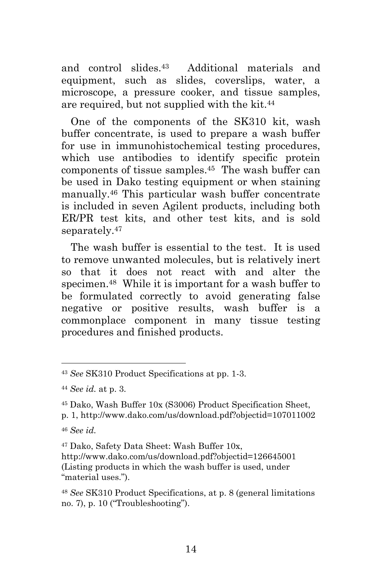and control slides.43 Additional materials and equipment, such as slides, coverslips, water, a microscope, a pressure cooker, and tissue samples, are required, but not supplied with the kit.44

One of the components of the SK310 kit, wash buffer concentrate, is used to prepare a wash buffer for use in immunohistochemical testing procedures, which use antibodies to identify specific protein components of tissue samples.45 The wash buffer can be used in Dako testing equipment or when staining manually.46 This particular wash buffer concentrate is included in seven Agilent products, including both ER/PR test kits, and other test kits, and is sold separately.<sup>47</sup>

The wash buffer is essential to the test. It is used to remove unwanted molecules, but is relatively inert so that it does not react with and alter the specimen.48 While it is important for a wash buffer to be formulated correctly to avoid generating false negative or positive results, wash buffer is a commonplace component in many tissue testing procedures and finished products.

<sup>43</sup> *See* SK310 Product Specifications at pp. 1-3.

<sup>44</sup> *See id.* at p. 3.

<sup>45</sup> Dako, Wash Buffer 10x (S3006) Product Specification Sheet,

p. 1, http://www.dako.com/us/download.pdf?objectid=107011002

<sup>46</sup> *See id.* 

<sup>47</sup> Dako, Safety Data Sheet: Wash Buffer 10x, http://www.dako.com/us/download.pdf?objectid=126645001 (Listing products in which the wash buffer is used, under "material uses.").

<sup>48</sup> *See* SK310 Product Specifications, at p. 8 (general limitations no. 7), p. 10 ("Troubleshooting").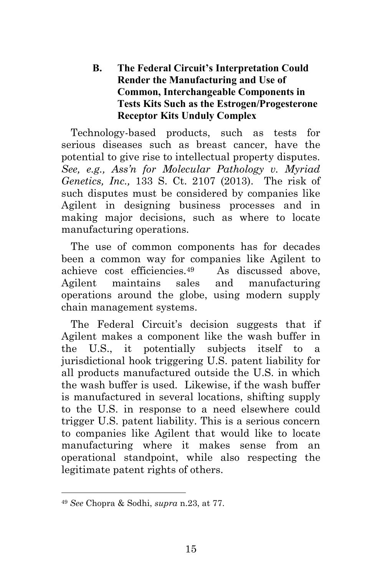**B. The Federal Circuit's Interpretation Could Render the Manufacturing and Use of Common, Interchangeable Components in Tests Kits Such as the Estrogen/Progesterone Receptor Kits Unduly Complex** 

Technology-based products, such as tests for serious diseases such as breast cancer, have the potential to give rise to intellectual property disputes. *See, e.g., Ass'n for Molecular Pathology v. Myriad Genetics, Inc.,* 133 S. Ct. 2107 (2013). The risk of such disputes must be considered by companies like Agilent in designing business processes and in making major decisions, such as where to locate manufacturing operations.

The use of common components has for decades been a common way for companies like Agilent to achieve cost efficiencies.49 As discussed above, Agilent maintains sales and manufacturing operations around the globe, using modern supply chain management systems.

The Federal Circuit's decision suggests that if Agilent makes a component like the wash buffer in the U.S., it potentially subjects itself to a jurisdictional hook triggering U.S. patent liability for all products manufactured outside the U.S. in which the wash buffer is used. Likewise, if the wash buffer is manufactured in several locations, shifting supply to the U.S. in response to a need elsewhere could trigger U.S. patent liability. This is a serious concern to companies like Agilent that would like to locate manufacturing where it makes sense from an operational standpoint, while also respecting the legitimate patent rights of others.

<sup>49</sup> *See* Chopra & Sodhi, *supra* n.23, at 77.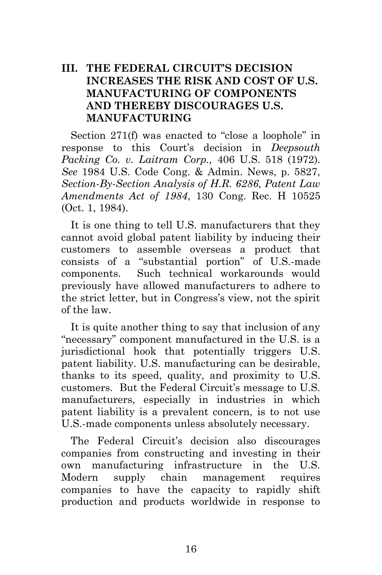## **III. THE FEDERAL CIRCUIT'S DECISION INCREASES THE RISK AND COST OF U.S. MANUFACTURING OF COMPONENTS AND THEREBY DISCOURAGES U.S. MANUFACTURING**

Section 271(f) was enacted to "close a loophole" in response to this Court's decision in *Deepsouth Packing Co. v. Laitram Corp.,* 406 U.S. 518 (1972)*. See* 1984 U.S. Code Cong. & Admin. News, p. 5827, *Section-By-Section Analysis of H.R. 6286, Patent Law Amendments Act of 1984*, 130 Cong. Rec. H 10525 (Oct. 1, 1984).

It is one thing to tell U.S. manufacturers that they cannot avoid global patent liability by inducing their customers to assemble overseas a product that consists of a "substantial portion" of U.S.-made components. Such technical workarounds would previously have allowed manufacturers to adhere to the strict letter, but in Congress's view, not the spirit of the law.

It is quite another thing to say that inclusion of any "necessary" component manufactured in the U.S. is a jurisdictional hook that potentially triggers U.S. patent liability. U.S. manufacturing can be desirable, thanks to its speed, quality, and proximity to U.S. customers. But the Federal Circuit's message to U.S. manufacturers, especially in industries in which patent liability is a prevalent concern, is to not use U.S.-made components unless absolutely necessary.

The Federal Circuit's decision also discourages companies from constructing and investing in their own manufacturing infrastructure in the U.S. Modern supply chain management requires companies to have the capacity to rapidly shift production and products worldwide in response to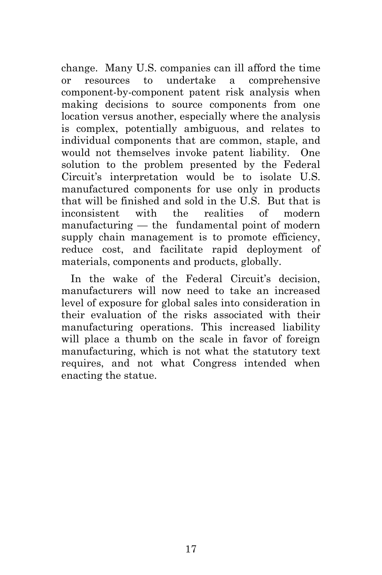change. Many U.S. companies can ill afford the time or resources to undertake a comprehensive component-by-component patent risk analysis when making decisions to source components from one location versus another, especially where the analysis is complex, potentially ambiguous, and relates to individual components that are common, staple, and would not themselves invoke patent liability. One solution to the problem presented by the Federal Circuit's interpretation would be to isolate U.S. manufactured components for use only in products that will be finished and sold in the U.S. But that is inconsistent with the realities of modern manufacturing — the fundamental point of modern supply chain management is to promote efficiency, reduce cost, and facilitate rapid deployment of materials, components and products, globally.

In the wake of the Federal Circuit's decision, manufacturers will now need to take an increased level of exposure for global sales into consideration in their evaluation of the risks associated with their manufacturing operations. This increased liability will place a thumb on the scale in favor of foreign manufacturing, which is not what the statutory text requires, and not what Congress intended when enacting the statue.